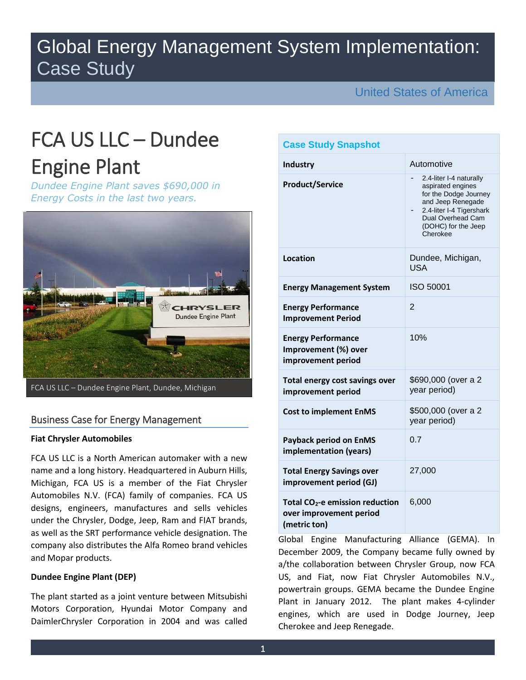## Global Energy Management System Implementation: Case Study

United States of America

# FCA US LLC – Dundee Engine Plant

*Dundee Engine Plant saves \$690,000 in Energy Costs in the last two years.*



## Business Case for Energy Management

#### **Fiat Chrysler Automobiles**

FCA US LLC is a North American automaker with a new name and a long history. Headquartered in Auburn Hills, Michigan, FCA US is a member of the Fiat Chrysler Automobiles N.V. (FCA) family of companies. FCA US designs, engineers, manufactures and sells vehicles under the Chrysler, Dodge, Jeep, Ram and FIAT brands, as well as the SRT performance vehicle designation. The company also distributes the Alfa Romeo brand vehicles and Mopar products.

## **Dundee Engine Plant (DEP)**

The plant started as a joint venture between Mitsubishi Motors Corporation, Hyundai Motor Company and DaimlerChrysler Corporation in 2004 and was called

| <b>Case Study Snapshot</b>                                                             |                                                                                                                                                                                |
|----------------------------------------------------------------------------------------|--------------------------------------------------------------------------------------------------------------------------------------------------------------------------------|
| <b>Industry</b>                                                                        | Automotive                                                                                                                                                                     |
| <b>Product/Service</b>                                                                 | 2.4-liter I-4 naturally<br>aspirated engines<br>for the Dodge Journey<br>and Jeep Renegade<br>2.4-liter I-4 Tigershark<br>Dual Overhead Cam<br>(DOHC) for the Jeep<br>Cherokee |
| Location                                                                               | Dundee, Michigan,<br><b>USA</b>                                                                                                                                                |
| <b>Energy Management System</b>                                                        | <b>ISO 50001</b>                                                                                                                                                               |
| <b>Energy Performance</b><br><b>Improvement Period</b>                                 | $\overline{2}$                                                                                                                                                                 |
| <b>Energy Performance</b><br>Improvement (%) over<br>improvement period                | 10%                                                                                                                                                                            |
| Total energy cost savings over<br>improvement period                                   | \$690,000 (over a 2<br>year period)                                                                                                                                            |
| <b>Cost to implement EnMS</b>                                                          | \$500,000 (over a 2<br>year period)                                                                                                                                            |
| <b>Payback period on EnMS</b><br>implementation (years)                                | 0.7                                                                                                                                                                            |
| <b>Total Energy Savings over</b><br>improvement period (GJ)                            | 27,000                                                                                                                                                                         |
| Total CO <sub>2</sub> -e emission reduction<br>over improvement period<br>(metric ton) | 6,000                                                                                                                                                                          |

Global Engine Manufacturing Alliance (GEMA). In December 2009, the Company became fully owned by a/the collaboration between Chrysler Group, now FCA US, and Fiat, now Fiat Chrysler Automobiles N.V., powertrain groups. GEMA became the Dundee Engine Plant in January 2012. The plant makes 4-cylinder engines, which are used in Dodge Journey, Jeep Cherokee and Jeep Renegade.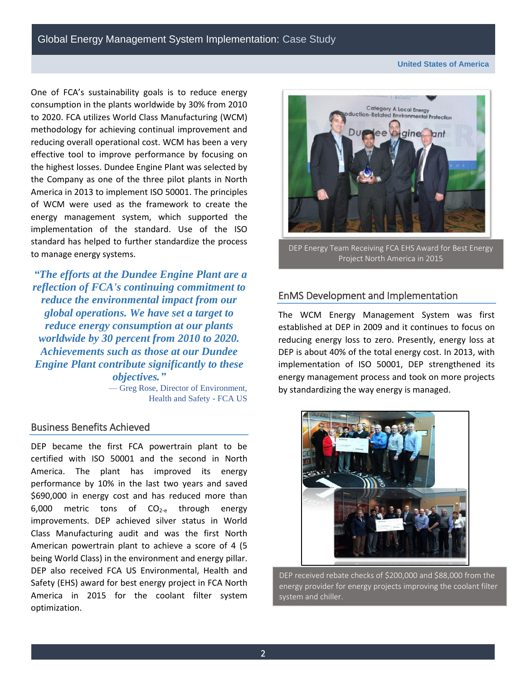**United States of America**

One of FCA's sustainability goals is to reduce energy consumption in the plants worldwide by 30% from 2010 to 2020. FCA utilizes World Class Manufacturing (WCM) methodology for achieving continual improvement and reducing overall operational cost. WCM has been a very effective tool to improve performance by focusing on the highest losses. Dundee Engine Plant was selected by the Company as one of the three pilot plants in North America in 2013 to implement ISO 50001. The principles of WCM were used as the framework to create the energy management system, which supported the implementation of the standard. Use of the ISO standard has helped to further standardize the process to manage energy systems.

*"The efforts at the Dundee Engine Plant are a reflection of FCA's continuing commitment to reduce the environmental impact from our global operations. We have set a target to reduce energy consumption at our plants worldwide by 30 percent from 2010 to 2020. Achievements such as those at our Dundee Engine Plant contribute significantly to these objectives."*

> — Greg Rose, Director of Environment, Health and Safety - FCA US

## Business Benefits Achieved

DEP became the first FCA powertrain plant to be certified with ISO 50001 and the second in North America. The plant has improved its energy performance by 10% in the last two years and saved \$690,000 in energy cost and has reduced more than  $6,000$  metric tons of  $CO<sub>2-e</sub>$  through energy improvements. DEP achieved silver status in World Class Manufacturing audit and was the first North American powertrain plant to achieve a score of 4 (5 being World Class) in the environment and energy pillar. DEP also received FCA US Environmental, Health and Safety (EHS) award for best energy project in FCA North America in 2015 for the coolant filter system optimization.



DEP Energy Team Receiving FCA EHS Award for Best Energy Project North America in 2015

## EnMS Development and Implementation

l

The WCM Energy Management System was first established at DEP in 2009 and it continues to focus on reducing energy loss to zero. Presently, energy loss at DEP is about 40% of the total energy cost. In 2013, with implementation of ISO 50001, DEP strengthened its energy management process and took on more projects by standardizing the way energy is managed.



DEP received rebate checks of \$200,000 and \$88,000 from the energy provider for energy projects improving the coolant filter system and chiller.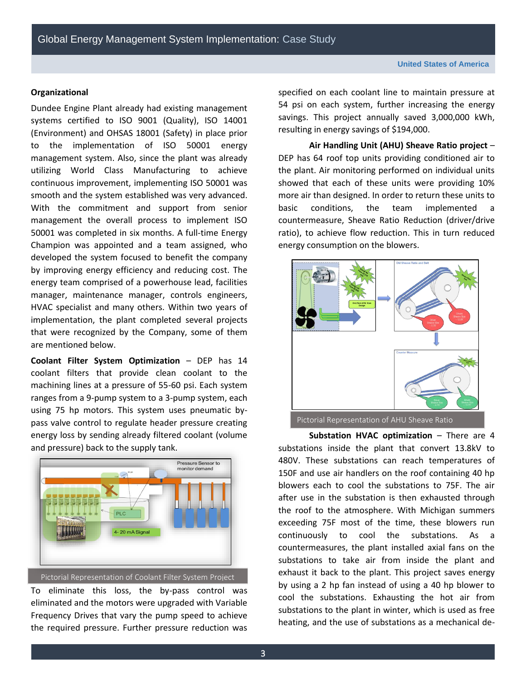#### **Organizational**

Dundee Engine Plant already had existing management systems certified to ISO 9001 (Quality), ISO 14001 (Environment) and OHSAS 18001 (Safety) in place prior to the implementation of ISO 50001 energy management system. Also, since the plant was already utilizing World Class Manufacturing to achieve continuous improvement, implementing ISO 50001 was smooth and the system established was very advanced. With the commitment and support from senior management the overall process to implement ISO 50001 was completed in six months. A full-time Energy Champion was appointed and a team assigned, who developed the system focused to benefit the company by improving energy efficiency and reducing cost. The energy team comprised of a powerhouse lead, facilities manager, maintenance manager, controls engineers, HVAC specialist and many others. Within two years of implementation, the plant completed several projects that were recognized by the Company, some of them are mentioned below.

**Coolant Filter System Optimization** – DEP has 14 coolant filters that provide clean coolant to the machining lines at a pressure of 55-60 psi. Each system ranges from a 9-pump system to a 3-pump system, each using 75 hp motors. This system uses pneumatic bypass valve control to regulate header pressure creating energy loss by sending already filtered coolant (volume and pressure) back to the supply tank.



Pictorial Representation of Coolant Filter System Project

To eliminate this loss, the by-pass control was eliminated and the motors were upgraded with Variable Frequency Drives that vary the pump speed to achieve the required pressure. Further pressure reduction was

specified on each coolant line to maintain pressure at 54 psi on each system, further increasing the energy savings. This project annually saved 3,000,000 kWh, resulting in energy savings of \$194,000.

**Air Handling Unit (AHU) Sheave Ratio project** – DEP has 64 roof top units providing conditioned air to the plant. Air monitoring performed on individual units showed that each of these units were providing 10% more air than designed. In order to return these units to basic conditions, the team implemented countermeasure, Sheave Ratio Reduction (driver/drive ratio), to achieve flow reduction. This in turn reduced energy consumption on the blowers.



Pictorial Representation of AHU Sheave Ratio

**Substation HVAC optimization – There are 4** substations inside the plant that convert 13.8kV to 480V. These substations can reach temperatures of 150F and use air handlers on the roof containing 40 hp blowers each to cool the substations to 75F. The air after use in the substation is then exhausted through the roof to the atmosphere. With Michigan summers exceeding 75F most of the time, these blowers run continuously to cool the substations. As a countermeasures, the plant installed axial fans on the substations to take air from inside the plant and exhaust it back to the plant. This project saves energy by using a 2 hp fan instead of using a 40 hp blower to cool the substations. Exhausting the hot air from substations to the plant in winter, which is used as free heating, and the use of substations as a mechanical de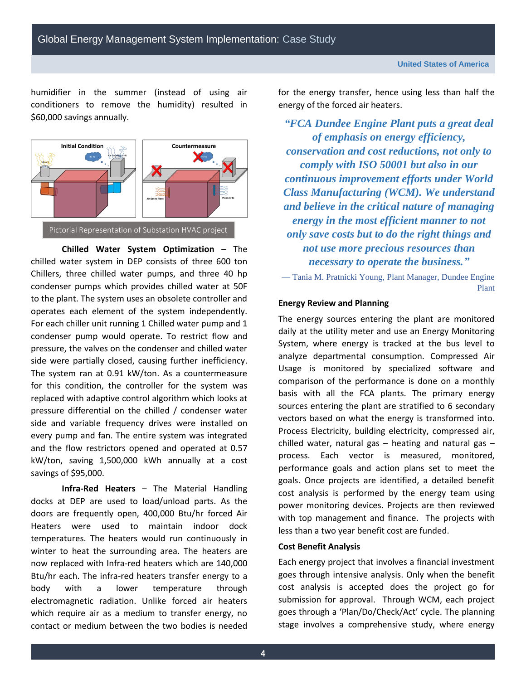humidifier in the summer (instead of using air conditioners to remove the humidity) resulted in \$60,000 savings annually.



**Chilled Water System Optimization** – The chilled water system in DEP consists of three 600 ton Chillers, three chilled water pumps, and three 40 hp condenser pumps which provides chilled water at 50F to the plant. The system uses an obsolete controller and operates each element of the system independently. For each chiller unit running 1 Chilled water pump and 1 condenser pump would operate. To restrict flow and pressure, the valves on the condenser and chilled water side were partially closed, causing further inefficiency. The system ran at 0.91 kW/ton. As a countermeasure for this condition, the controller for the system was replaced with adaptive control algorithm which looks at pressure differential on the chilled / condenser water side and variable frequency drives were installed on every pump and fan. The entire system was integrated and the flow restrictors opened and operated at 0.57 kW/ton, saving 1,500,000 kWh annually at a cost savings of \$95,000. Optimization Project

**Infra-Red Heaters** – The Material Handling docks at DEP are used to load/unload parts. As the doors are frequently open, 400,000 Btu/hr forced Air Heaters were used to maintain indoor dock temperatures. The heaters would run continuously in winter to heat the surrounding area. The heaters are now replaced with Infra-red heaters which are 140,000 Btu/hr each. The infra-red heaters transfer energy to a body with a lower temperature through electromagnetic radiation. Unlike forced air heaters which require air as a medium to transfer energy, no contact or medium between the two bodies is needed for the energy transfer, hence using less than half the energy of the forced air heaters.

*"FCA Dundee Engine Plant puts a great deal of emphasis on energy efficiency, conservation and cost reductions, not only to comply with ISO 50001 but also in our continuous improvement efforts under World Class Manufacturing (WCM). We understand and believe in the critical nature of managing energy in the most efficient manner to not only save costs but to do the right things and not use more precious resources than necessary to operate the business."*

— Tania M. Pratnicki Young, Plant Manager, Dundee Engine Plant

#### **Energy Review and Planning**

The energy sources entering the plant are monitored daily at the utility meter and use an Energy Monitoring System, where energy is tracked at the bus level to analyze departmental consumption. Compressed Air Usage is monitored by specialized software and comparison of the performance is done on a monthly basis with all the FCA plants. The primary energy sources entering the plant are stratified to 6 secondary vectors based on what the energy is transformed into. Process Electricity, building electricity, compressed air, chilled water, natural gas – heating and natural gas – process. Each vector is measured, monitored, performance goals and action plans set to meet the goals. Once projects are identified, a detailed benefit cost analysis is performed by the energy team using power monitoring devices. Projects are then reviewed with top management and finance. The projects with less than a two year benefit cost are funded.

#### **Cost Benefit Analysis**

Each energy project that involves a financial investment goes through intensive analysis. Only when the benefit cost analysis is accepted does the project go for submission for approval. Through WCM, each project goes through a 'Plan/Do/Check/Act' cycle. The planning stage involves a comprehensive study, where energy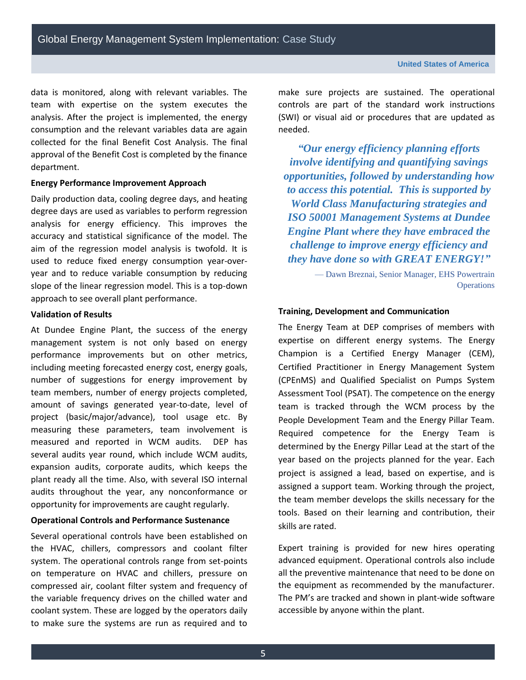Global Energy Management System Implementation: Case Study

data is monitored, along with relevant variables. The team with expertise on the system executes the analysis. After the project is implemented, the energy consumption and the relevant variables data are again collected for the final Benefit Cost Analysis. The final approval of the Benefit Cost is completed by the finance department.

#### **Energy Performance Improvement Approach**

Daily production data, cooling degree days, and heating degree days are used as variables to perform regression analysis for energy efficiency. This improves the accuracy and statistical significance of the model. The aim of the regression model analysis is twofold. It is used to reduce fixed energy consumption year-overyear and to reduce variable consumption by reducing slope of the linear regression model. This is a top-down approach to see overall plant performance.

## **Validation of Results**

At Dundee Engine Plant, the success of the energy management system is not only based on energy performance improvements but on other metrics, including meeting forecasted energy cost, energy goals, number of suggestions for energy improvement by team members, number of energy projects completed, amount of savings generated year-to-date, level of project (basic/major/advance), tool usage etc. By measuring these parameters, team involvement is measured and reported in WCM audits. DEP has several audits year round, which include WCM audits, expansion audits, corporate audits, which keeps the plant ready all the time. Also, with several ISO internal audits throughout the year, any nonconformance or opportunity for improvements are caught regularly.

#### **Operational Controls and Performance Sustenance**

Several operational controls have been established on the HVAC, chillers, compressors and coolant filter system. The operational controls range from set-points on temperature on HVAC and chillers, pressure on compressed air, coolant filter system and frequency of the variable frequency drives on the chilled water and coolant system. These are logged by the operators daily to make sure the systems are run as required and to

make sure projects are sustained. The operational controls are part of the standard work instructions (SWI) or visual aid or procedures that are updated as needed.

*"Our energy efficiency planning efforts involve identifying and quantifying savings opportunities, followed by understanding how to access this potential. This is supported by World Class Manufacturing strategies and ISO 50001 Management Systems at Dundee Engine Plant where they have embraced the challenge to improve energy efficiency and they have done so with GREAT ENERGY!"*

> — Dawn Breznai, Senior Manager, EHS Powertrain **Operations**

#### **Training, Development and Communication**

The Energy Team at DEP comprises of members with expertise on different energy systems. The Energy Champion is a Certified Energy Manager (CEM), Certified Practitioner in Energy Management System (CPEnMS) and Qualified Specialist on Pumps System Assessment Tool (PSAT). The competence on the energy team is tracked through the WCM process by the People Development Team and the Energy Pillar Team. Required competence for the Energy Team is determined by the Energy Pillar Lead at the start of the year based on the projects planned for the year. Each project is assigned a lead, based on expertise, and is assigned a support team. Working through the project, the team member develops the skills necessary for the tools. Based on their learning and contribution, their skills are rated.

Expert training is provided for new hires operating advanced equipment. Operational controls also include all the preventive maintenance that need to be done on the equipment as recommended by the manufacturer. The PM's are tracked and shown in plant-wide software accessible by anyone within the plant.